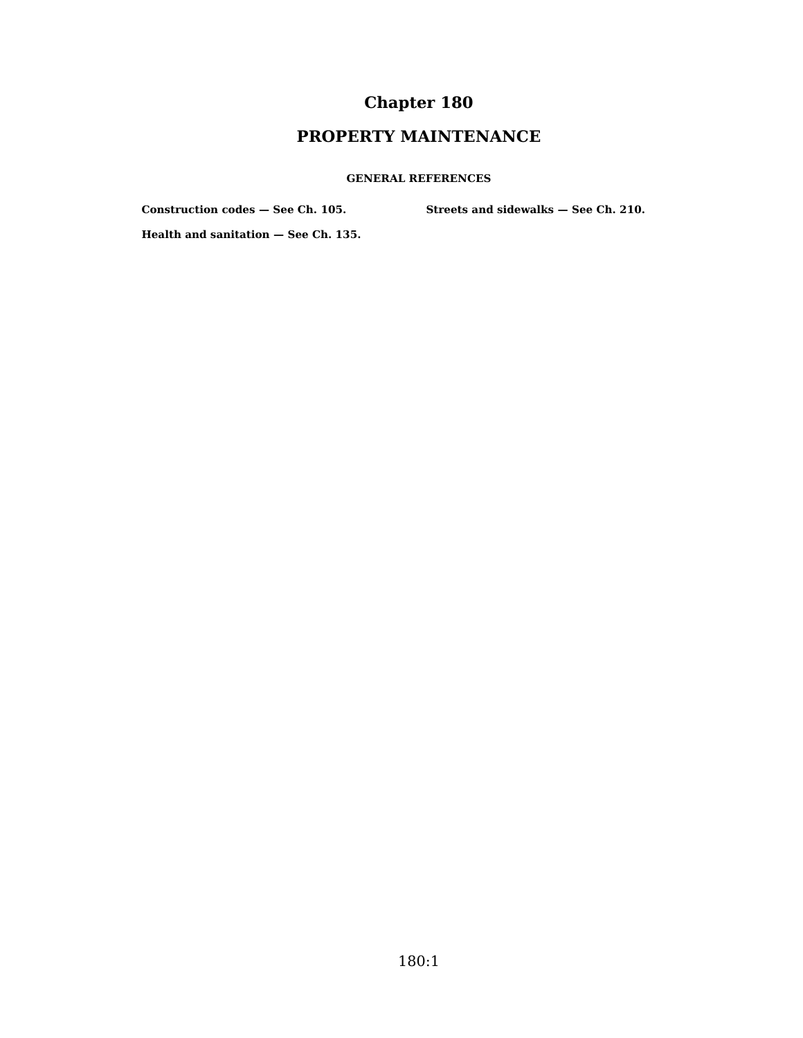# **Chapter 180**

# **PROPERTY MAINTENANCE**

#### **GENERAL REFERENCES**

**Construction codes — See Ch. 105.**

**Streets and sidewalks — See Ch. 210.**

**Health and sanitation — See Ch. 135.**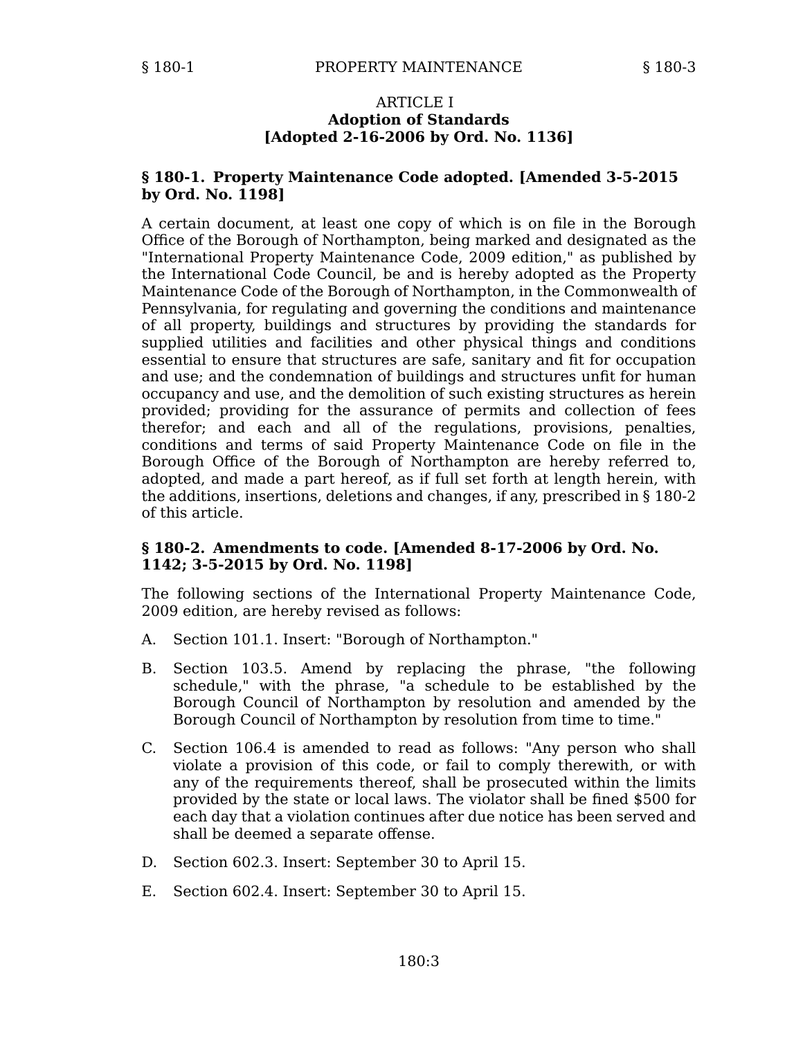### ARTICLE I **Adoption of Standards [Adopted 2-16-2006 by Ord. No. 1136]**

# **§ 180-1. Property Maintenance Code adopted. [Amended 3-5-2015 by Ord. No. 1198]**

A certain document, at least one copy of which is on file in the Borough Office of the Borough of Northampton, being marked and designated as the "International Property Maintenance Code, 2009 edition," as published by the International Code Council, be and is hereby adopted as the Property Maintenance Code of the Borough of Northampton, in the Commonwealth of Pennsylvania, for regulating and governing the conditions and maintenance of all property, buildings and structures by providing the standards for supplied utilities and facilities and other physical things and conditions essential to ensure that structures are safe, sanitary and fit for occupation and use; and the condemnation of buildings and structures unfit for human occupancy and use, and the demolition of such existing structures as herein provided; providing for the assurance of permits and collection of fees therefor; and each and all of the regulations, provisions, penalties, conditions and terms of said Property Maintenance Code on file in the Borough Office of the Borough of Northampton are hereby referred to, adopted, and made a part hereof, as if full set forth at length herein, with the additions, insertions, deletions and changes, if any, prescribed in § 180-2 of this article.

# **§ 180-2. Amendments to code. [Amended 8-17-2006 by Ord. No. 1142; 3-5-2015 by Ord. No. 1198]**

The following sections of the International Property Maintenance Code, 2009 edition, are hereby revised as follows:

- A. Section 101.1. Insert: "Borough of Northampton."
- Section 103.5. Amend by replacing the phrase, "the following schedule," with the phrase, "a schedule to be established by the Borough Council of Northampton by resolution and amended by the Borough Council of Northampton by resolution from time to time." B.
- C. Section 106.4 is amended to read as follows: "Any person who shall violate a provision of this code, or fail to comply therewith, or with any of the requirements thereof, shall be prosecuted within the limits provided by the state or local laws. The violator shall be fined \$500 for each day that a violation continues after due notice has been served and shall be deemed a separate offense.
- D. Section 602.3. Insert: September 30 to April 15.
- E. Section 602.4. Insert: September 30 to April 15.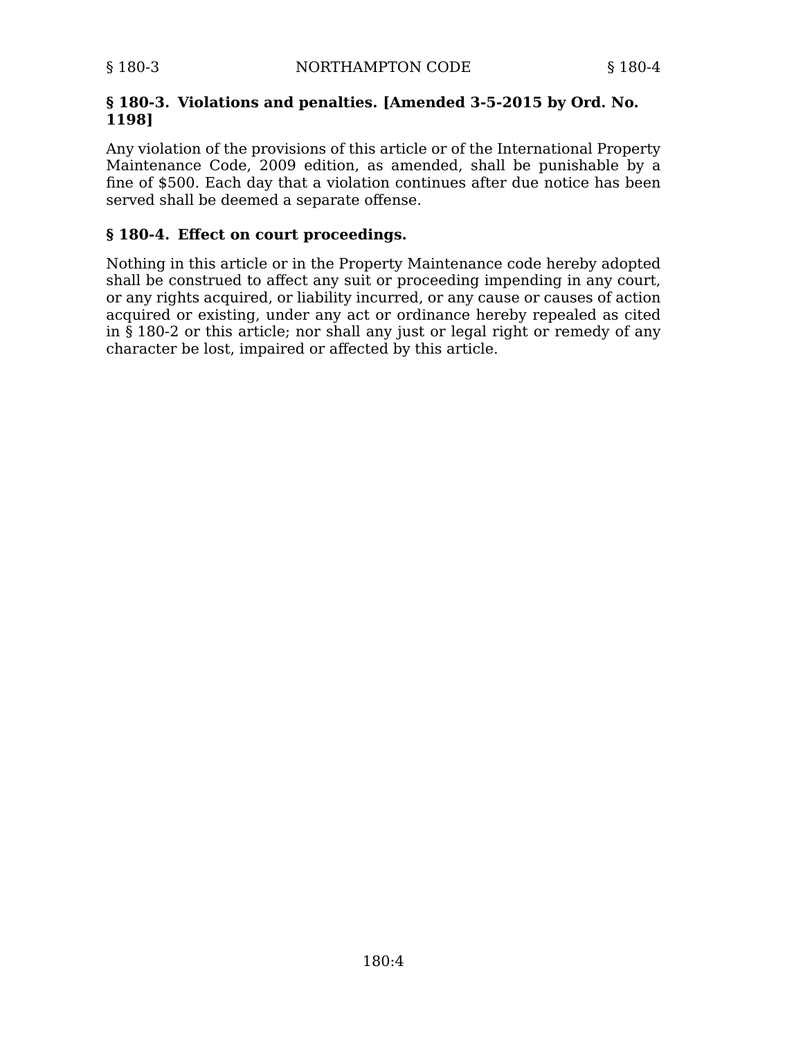# **§ 180-3. Violations and penalties. [Amended 3-5-2015 by Ord. No. 1198]**

Any violation of the provisions of this article or of the International Property Maintenance Code, 2009 edition, as amended, shall be punishable by a fine of \$500. Each day that a violation continues after due notice has been served shall be deemed a separate offense.

# **§ 180-4. Effect on court proceedings.**

Nothing in this article or in the Property Maintenance code hereby adopted shall be construed to affect any suit or proceeding impending in any court, or any rights acquired, or liability incurred, or any cause or causes of action acquired or existing, under any act or ordinance hereby repealed as cited in § 180-2 or this article; nor shall any just or legal right or remedy of any character be lost, impaired or affected by this article.